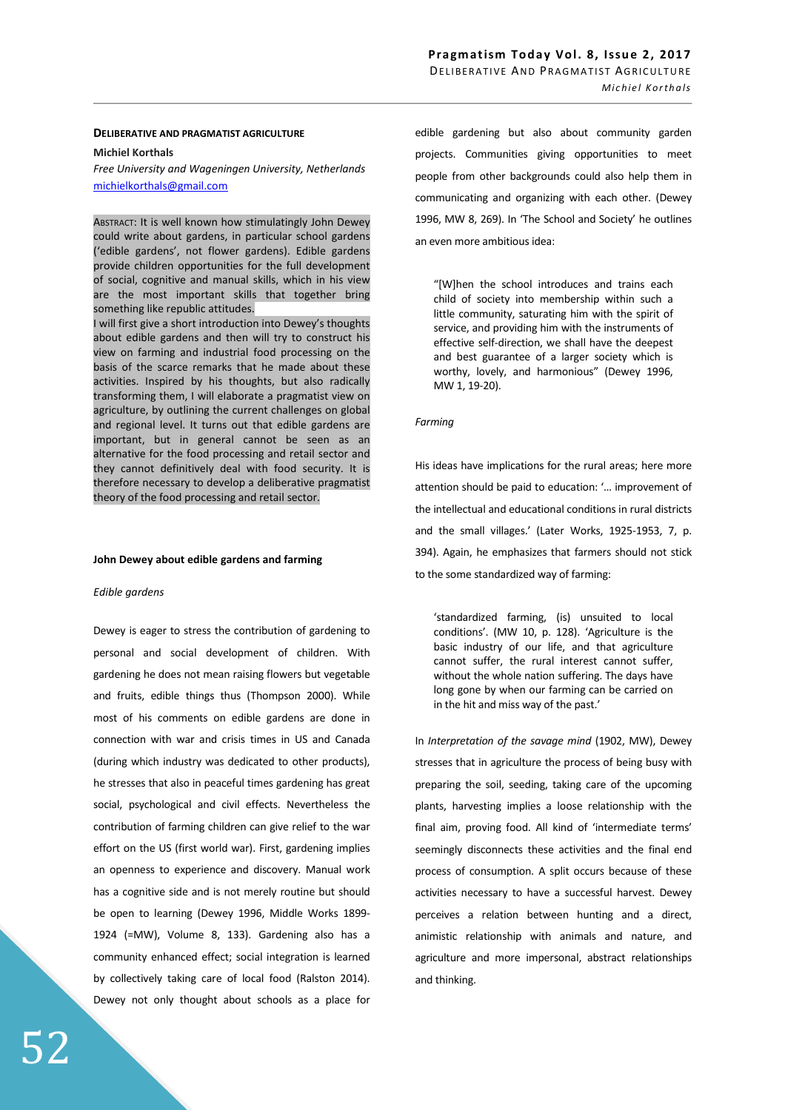#### **DELIBERATIVE AND PRAGMATIST AGRICULTURE**

### **Michiel Korthals**

*Free University and Wageningen University, Netherlands*  michielkorthals@gmail.com

ABSTRACT: It is well known how stimulatingly John Dewey could write about gardens, in particular school gardens ('edible gardens', not flower gardens). Edible gardens provide children opportunities for the full development of social, cognitive and manual skills, which in his view are the most important skills that together bring something like republic attitudes.

I will first give a short introduction into Dewey's thoughts about edible gardens and then will try to construct his view on farming and industrial food processing on the basis of the scarce remarks that he made about these activities. Inspired by his thoughts, but also radically transforming them, I will elaborate a pragmatist view on agriculture, by outlining the current challenges on global and regional level. It turns out that edible gardens are important, but in general cannot be seen as an alternative for the food processing and retail sector and they cannot definitively deal with food security. It is therefore necessary to develop a deliberative pragmatist theory of the food processing and retail sector.

#### **John Dewey about edible gardens and farming**

#### *Edible gardens*

Dewey is eager to stress the contribution of gardening to personal and social development of children. With gardening he does not mean raising flowers but vegetable and fruits, edible things thus (Thompson 2000). While most of his comments on edible gardens are done in connection with war and crisis times in US and Canada (during which industry was dedicated to other products), he stresses that also in peaceful times gardening has great social, psychological and civil effects. Nevertheless the contribution of farming children can give relief to the war effort on the US (first world war). First, gardening implies an openness to experience and discovery. Manual work has a cognitive side and is not merely routine but should be open to learning (Dewey 1996, Middle Works 1899- 1924 (=MW), Volume 8, 133). Gardening also has a community enhanced effect; social integration is learned by collectively taking care of local food (Ralston 2014). Dewey not only thought about schools as a place for edible gardening but also about community garden projects. Communities giving opportunities to meet people from other backgrounds could also help them in communicating and organizing with each other. (Dewey 1996, MW 8, 269). In 'The School and Society' he outlines an even more ambitious idea:

"[W]hen the school introduces and trains each child of society into membership within such a little community, saturating him with the spirit of service, and providing him with the instruments of effective self-direction, we shall have the deepest and best guarantee of a larger society which is worthy, lovely, and harmonious" (Dewey 1996, MW 1, 19-20).

#### *Farming*

His ideas have implications for the rural areas; here more attention should be paid to education: '… improvement of the intellectual and educational conditions in rural districts and the small villages.' (Later Works, 1925-1953, 7, p. 394). Again, he emphasizes that farmers should not stick to the some standardized way of farming:

'standardized farming, (is) unsuited to local conditions'. (MW 10, p. 128). 'Agriculture is the basic industry of our life, and that agriculture cannot suffer, the rural interest cannot suffer, without the whole nation suffering. The days have long gone by when our farming can be carried on in the hit and miss way of the past.'

In *Interpretation of the savage mind* (1902, MW), Dewey stresses that in agriculture the process of being busy with preparing the soil, seeding, taking care of the upcoming plants, harvesting implies a loose relationship with the final aim, proving food. All kind of 'intermediate terms' seemingly disconnects these activities and the final end process of consumption. A split occurs because of these activities necessary to have a successful harvest. Dewey perceives a relation between hunting and a direct, animistic relationship with animals and nature, and agriculture and more impersonal, abstract relationships and thinking.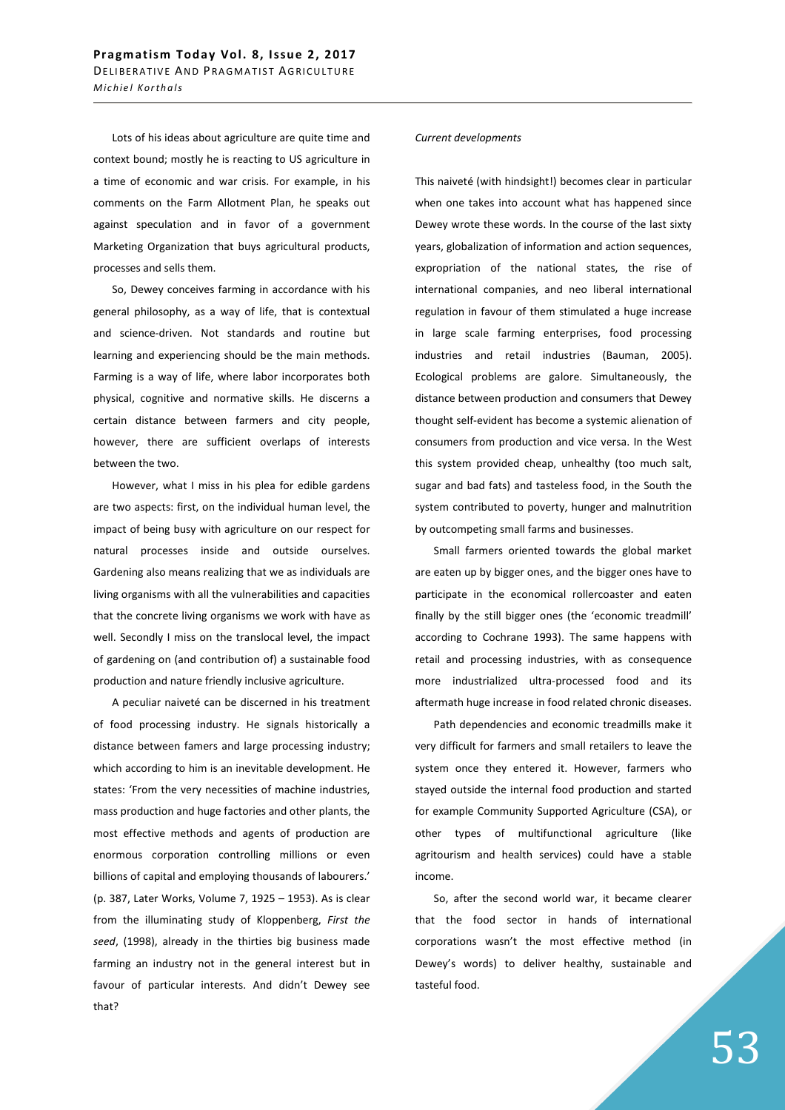Lots of his ideas about agriculture are quite time and context bound; mostly he is reacting to US agriculture in a time of economic and war crisis. For example, in his comments on the Farm Allotment Plan, he speaks out against speculation and in favor of a government Marketing Organization that buys agricultural products, processes and sells them.

So, Dewey conceives farming in accordance with his general philosophy, as a way of life, that is contextual and science-driven. Not standards and routine but learning and experiencing should be the main methods. Farming is a way of life, where labor incorporates both physical, cognitive and normative skills. He discerns a certain distance between farmers and city people, however, there are sufficient overlaps of interests between the two.

However, what I miss in his plea for edible gardens are two aspects: first, on the individual human level, the impact of being busy with agriculture on our respect for natural processes inside and outside ourselves. Gardening also means realizing that we as individuals are living organisms with all the vulnerabilities and capacities that the concrete living organisms we work with have as well. Secondly I miss on the translocal level, the impact of gardening on (and contribution of) a sustainable food production and nature friendly inclusive agriculture.

A peculiar naiveté can be discerned in his treatment of food processing industry. He signals historically a distance between famers and large processing industry; which according to him is an inevitable development. He states: 'From the very necessities of machine industries, mass production and huge factories and other plants, the most effective methods and agents of production are enormous corporation controlling millions or even billions of capital and employing thousands of labourers.' (p. 387, Later Works, Volume 7, 1925 – 1953). As is clear from the illuminating study of Kloppenberg, *First the seed*, (1998), already in the thirties big business made farming an industry not in the general interest but in favour of particular interests. And didn't Dewey see that?

## *Current developments*

This naiveté (with hindsight!) becomes clear in particular when one takes into account what has happened since Dewey wrote these words. In the course of the last sixty years, globalization of information and action sequences, expropriation of the national states, the rise of international companies, and neo liberal international regulation in favour of them stimulated a huge increase in large scale farming enterprises, food processing industries and retail industries (Bauman, 2005). Ecological problems are galore. Simultaneously, the distance between production and consumers that Dewey thought self-evident has become a systemic alienation of consumers from production and vice versa. In the West this system provided cheap, unhealthy (too much salt, sugar and bad fats) and tasteless food, in the South the system contributed to poverty, hunger and malnutrition by outcompeting small farms and businesses.

Small farmers oriented towards the global market are eaten up by bigger ones, and the bigger ones have to participate in the economical rollercoaster and eaten finally by the still bigger ones (the 'economic treadmill' according to Cochrane 1993). The same happens with retail and processing industries, with as consequence more industrialized ultra-processed food and its aftermath huge increase in food related chronic diseases.

Path dependencies and economic treadmills make it very difficult for farmers and small retailers to leave the system once they entered it. However, farmers who stayed outside the internal food production and started for example Community Supported Agriculture (CSA), or other types of multifunctional agriculture (like agritourism and health services) could have a stable income.

So, after the second world war, it became clearer that the food sector in hands of international corporations wasn't the most effective method (in Dewey's words) to deliver healthy, sustainable and tasteful food.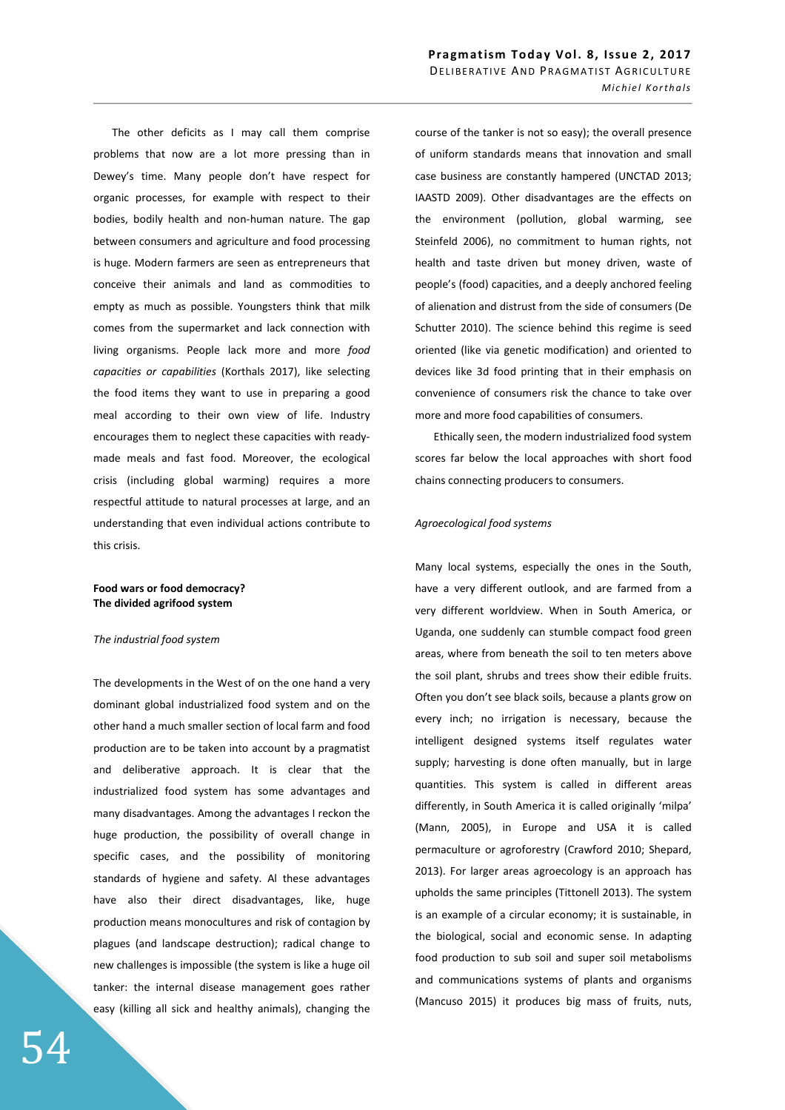The other deficits as I may call them comprise problems that now are a lot more pressing than in Dewey's time. Many people don't have respect for organic processes, for example with respect to their bodies, bodily health and non-human nature. The gap between consumers and agriculture and food processing is huge. Modern farmers are seen as entrepreneurs that conceive their animals and land as commodities to empty as much as possible. Youngsters think that milk comes from the supermarket and lack connection with living organisms. People lack more and more *food capacities or capabilities* (Korthals 2017), like selecting the food items they want to use in preparing a good meal according to their own view of life. Industry encourages them to neglect these capacities with readymade meals and fast food. Moreover, the ecological crisis (including global warming) requires a more respectful attitude to natural processes at large, and an understanding that even individual actions contribute to this crisis.

### **Food wars or food democracy? The divided agrifood system**

### *The industrial food system*

The developments in the West of on the one hand a very dominant global industrialized food system and on the other hand a much smaller section of local farm and food production are to be taken into account by a pragmatist and deliberative approach. It is clear that the industrialized food system has some advantages and many disadvantages. Among the advantages I reckon the huge production, the possibility of overall change in specific cases, and the possibility of monitoring standards of hygiene and safety. Al these advantages have also their direct disadvantages, like, huge production means monocultures and risk of contagion by plagues (and landscape destruction); radical change to new challenges is impossible (the system is like a huge oil tanker: the internal disease management goes rather easy (killing all sick and healthy animals), changing the

course of the tanker is not so easy); the overall presence of uniform standards means that innovation and small case business are constantly hampered (UNCTAD 2013; IAASTD 2009). Other disadvantages are the effects on the environment (pollution, global warming, see Steinfeld 2006), no commitment to human rights, not health and taste driven but money driven, waste of people's (food) capacities, and a deeply anchored feeling of alienation and distrust from the side of consumers (De Schutter 2010). The science behind this regime is seed oriented (like via genetic modification) and oriented to devices like 3d food printing that in their emphasis on convenience of consumers risk the chance to take over more and more food capabilities of consumers.

Ethically seen, the modern industrialized food system scores far below the local approaches with short food chains connecting producers to consumers.

#### *Agroecological food systems*

Many local systems, especially the ones in the South, have a very different outlook, and are farmed from a very different worldview. When in South America, or Uganda, one suddenly can stumble compact food green areas, where from beneath the soil to ten meters above the soil plant, shrubs and trees show their edible fruits. Often you don't see black soils, because a plants grow on every inch; no irrigation is necessary, because the intelligent designed systems itself regulates water supply; harvesting is done often manually, but in large quantities. This system is called in different areas differently, in South America it is called originally 'milpa' (Mann, 2005), in Europe and USA it is called permaculture or agroforestry (Crawford 2010; Shepard, 2013). For larger areas agroecology is an approach has upholds the same principles (Tittonell 2013). The system is an example of a circular economy; it is sustainable, in the biological, social and economic sense. In adapting food production to sub soil and super soil metabolisms and communications systems of plants and organisms (Mancuso 2015) it produces big mass of fruits, nuts,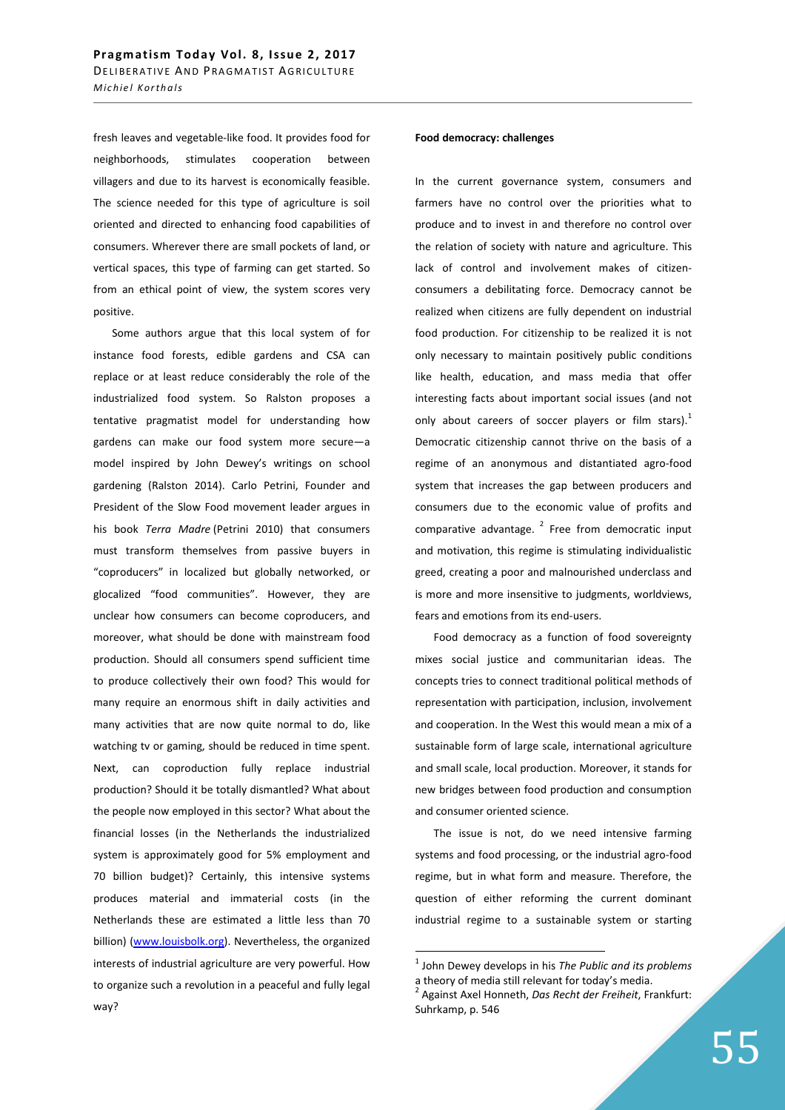fresh leaves and vegetable-like food. It provides food for neighborhoods, stimulates cooperation between villagers and due to its harvest is economically feasible. The science needed for this type of agriculture is soil oriented and directed to enhancing food capabilities of consumers. Wherever there are small pockets of land, or vertical spaces, this type of farming can get started. So from an ethical point of view, the system scores very positive.

Some authors argue that this local system of for instance food forests, edible gardens and CSA can replace or at least reduce considerably the role of the industrialized food system. So Ralston proposes a tentative pragmatist model for understanding how gardens can make our food system more secure—a model inspired by John Dewey's writings on school gardening (Ralston 2014). Carlo Petrini, Founder and President of the Slow Food movement leader argues in his book *Terra Madre* (Petrini 2010) that consumers must transform themselves from passive buyers in "coproducers" in localized but globally networked, or glocalized "food communities". However, they are unclear how consumers can become coproducers, and moreover, what should be done with mainstream food production. Should all consumers spend sufficient time to produce collectively their own food? This would for many require an enormous shift in daily activities and many activities that are now quite normal to do, like watching tv or gaming, should be reduced in time spent. Next, can coproduction fully replace industrial production? Should it be totally dismantled? What about the people now employed in this sector? What about the financial losses (in the Netherlands the industrialized system is approximately good for 5% employment and 70 billion budget)? Certainly, this intensive systems produces material and immaterial costs (in the Netherlands these are estimated a little less than 70 billion) (www.louisbolk.org). Nevertheless, the organized interests of industrial agriculture are very powerful. How to organize such a revolution in a peaceful and fully legal way?

## **Food democracy: challenges**

In the current governance system, consumers and farmers have no control over the priorities what to produce and to invest in and therefore no control over the relation of society with nature and agriculture. This lack of control and involvement makes of citizenconsumers a debilitating force. Democracy cannot be realized when citizens are fully dependent on industrial food production. For citizenship to be realized it is not only necessary to maintain positively public conditions like health, education, and mass media that offer interesting facts about important social issues (and not only about careers of soccer players or film stars).<sup>1</sup> Democratic citizenship cannot thrive on the basis of a regime of an anonymous and distantiated agro-food system that increases the gap between producers and consumers due to the economic value of profits and comparative advantage. $<sup>2</sup>$  Free from democratic input</sup> and motivation, this regime is stimulating individualistic greed, creating a poor and malnourished underclass and is more and more insensitive to judgments, worldviews, fears and emotions from its end-users.

Food democracy as a function of food sovereignty mixes social justice and communitarian ideas. The concepts tries to connect traditional political methods of representation with participation, inclusion, involvement and cooperation. In the West this would mean a mix of a sustainable form of large scale, international agriculture and small scale, local production. Moreover, it stands for new bridges between food production and consumption and consumer oriented science.

The issue is not, do we need intensive farming systems and food processing, or the industrial agro-food regime, but in what form and measure. Therefore, the question of either reforming the current dominant industrial regime to a sustainable system or starting

 $\overline{a}$ 

<sup>1</sup> John Dewey develops in his *The Public and its problems* a theory of media still relevant for today's media.

<sup>2</sup> Against Axel Honneth, *Das Recht der Freiheit*, Frankfurt: Suhrkamp, p. 546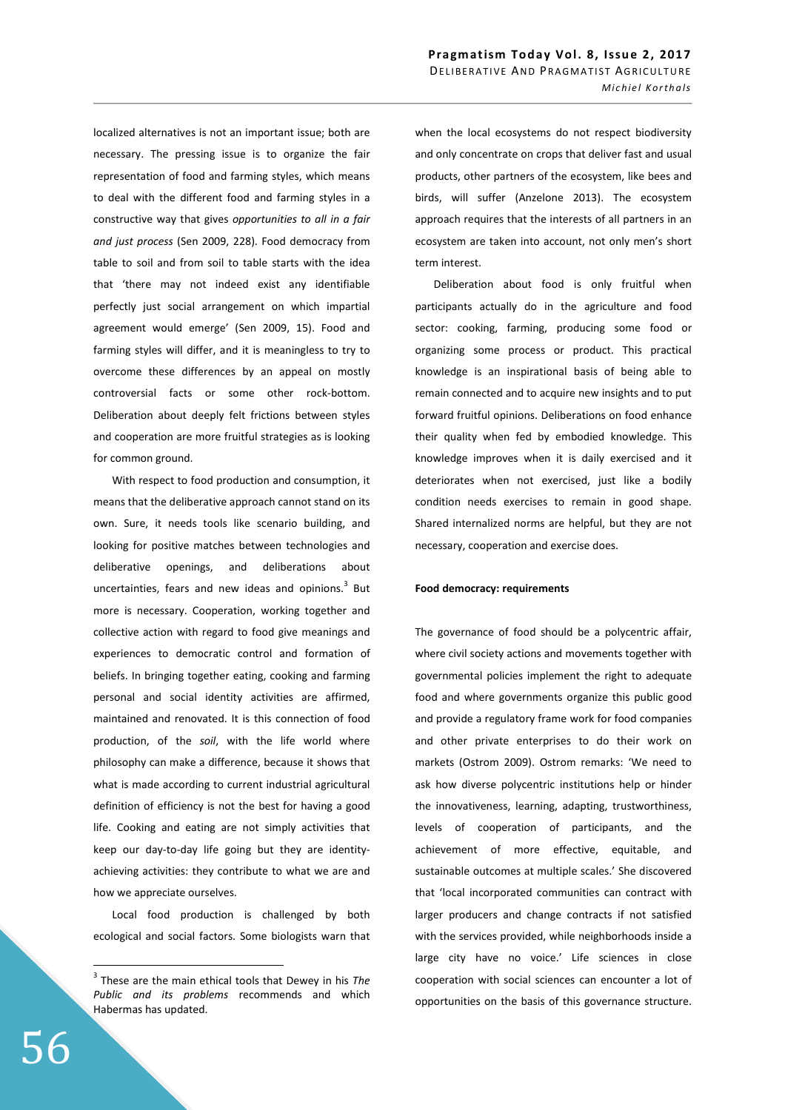localized alternatives is not an important issue; both are necessary. The pressing issue is to organize the fair representation of food and farming styles, which means to deal with the different food and farming styles in a constructive way that gives *opportunities to all in a fair and just process* (Sen 2009, 228). Food democracy from table to soil and from soil to table starts with the idea that 'there may not indeed exist any identifiable perfectly just social arrangement on which impartial agreement would emerge' (Sen 2009, 15). Food and farming styles will differ, and it is meaningless to try to overcome these differences by an appeal on mostly controversial facts or some other rock-bottom. Deliberation about deeply felt frictions between styles and cooperation are more fruitful strategies as is looking for common ground.

With respect to food production and consumption, it means that the deliberative approach cannot stand on its own. Sure, it needs tools like scenario building, and looking for positive matches between technologies and deliberative openings, and deliberations about uncertainties, fears and new ideas and opinions.<sup>3</sup> But more is necessary. Cooperation, working together and collective action with regard to food give meanings and experiences to democratic control and formation of beliefs. In bringing together eating, cooking and farming personal and social identity activities are affirmed, maintained and renovated. It is this connection of food production, of the *soil*, with the life world where philosophy can make a difference, because it shows that what is made according to current industrial agricultural definition of efficiency is not the best for having a good life. Cooking and eating are not simply activities that keep our day-to-day life going but they are identityachieving activities: they contribute to what we are and how we appreciate ourselves.

Local food production is challenged by both ecological and social factors. Some biologists warn that when the local ecosystems do not respect biodiversity and only concentrate on crops that deliver fast and usual products, other partners of the ecosystem, like bees and birds, will suffer (Anzelone 2013). The ecosystem approach requires that the interests of all partners in an ecosystem are taken into account, not only men's short term interest.

Deliberation about food is only fruitful when participants actually do in the agriculture and food sector: cooking, farming, producing some food or organizing some process or product. This practical knowledge is an inspirational basis of being able to remain connected and to acquire new insights and to put forward fruitful opinions. Deliberations on food enhance their quality when fed by embodied knowledge. This knowledge improves when it is daily exercised and it deteriorates when not exercised, just like a bodily condition needs exercises to remain in good shape. Shared internalized norms are helpful, but they are not necessary, cooperation and exercise does.

### **Food democracy: requirements**

The governance of food should be a polycentric affair, where civil society actions and movements together with governmental policies implement the right to adequate food and where governments organize this public good and provide a regulatory frame work for food companies and other private enterprises to do their work on markets (Ostrom 2009). Ostrom remarks: 'We need to ask how diverse polycentric institutions help or hinder the innovativeness, learning, adapting, trustworthiness, levels of cooperation of participants, and the achievement of more effective, equitable, and sustainable outcomes at multiple scales.' She discovered that 'local incorporated communities can contract with larger producers and change contracts if not satisfied with the services provided, while neighborhoods inside a large city have no voice.' Life sciences in close cooperation with social sciences can encounter a lot of opportunities on the basis of this governance structure.

 $\overline{a}$ 

<sup>3</sup> These are the main ethical tools that Dewey in his *The Public and its problems* recommends and which Habermas has updated.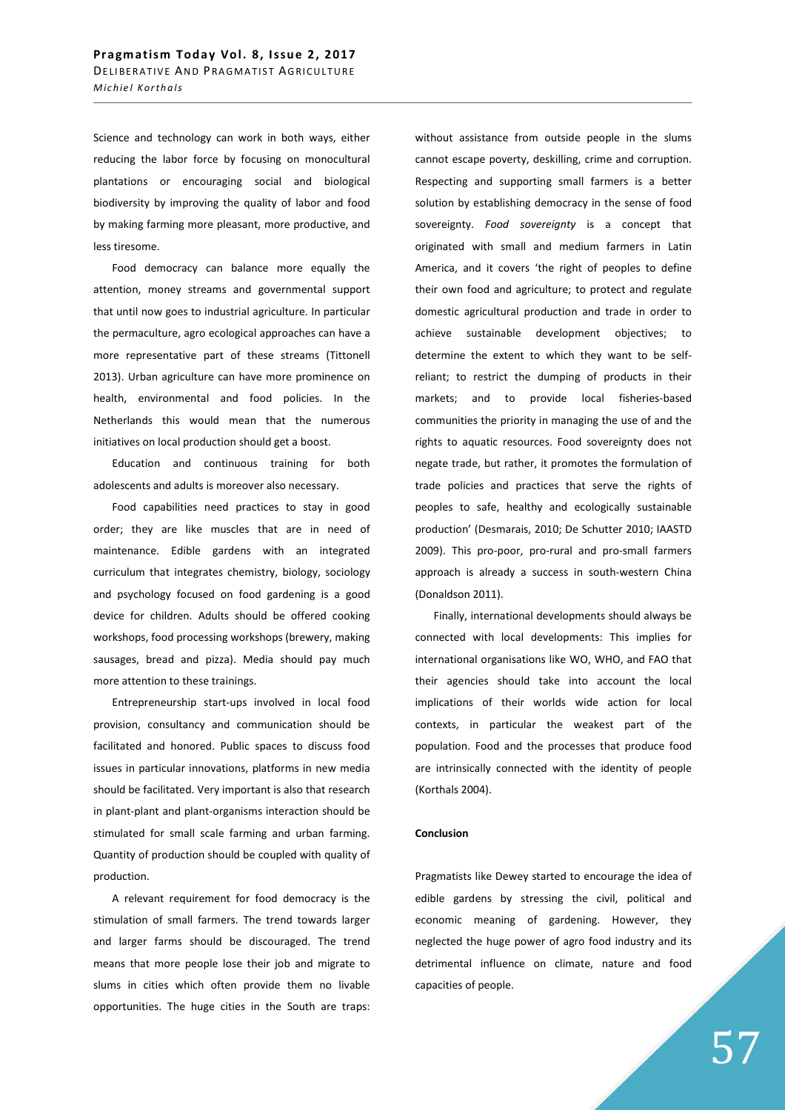Science and technology can work in both ways, either reducing the labor force by focusing on monocultural plantations or encouraging social and biological biodiversity by improving the quality of labor and food by making farming more pleasant, more productive, and less tiresome.

Food democracy can balance more equally the attention, money streams and governmental support that until now goes to industrial agriculture. In particular the permaculture, agro ecological approaches can have a more representative part of these streams (Tittonell 2013). Urban agriculture can have more prominence on health, environmental and food policies. In the Netherlands this would mean that the numerous initiatives on local production should get a boost.

Education and continuous training for both adolescents and adults is moreover also necessary.

Food capabilities need practices to stay in good order; they are like muscles that are in need of maintenance. Edible gardens with an integrated curriculum that integrates chemistry, biology, sociology and psychology focused on food gardening is a good device for children. Adults should be offered cooking workshops, food processing workshops (brewery, making sausages, bread and pizza). Media should pay much more attention to these trainings.

Entrepreneurship start-ups involved in local food provision, consultancy and communication should be facilitated and honored. Public spaces to discuss food issues in particular innovations, platforms in new media should be facilitated. Very important is also that research in plant-plant and plant-organisms interaction should be stimulated for small scale farming and urban farming. Quantity of production should be coupled with quality of production.

A relevant requirement for food democracy is the stimulation of small farmers. The trend towards larger and larger farms should be discouraged. The trend means that more people lose their job and migrate to slums in cities which often provide them no livable opportunities. The huge cities in the South are traps:

without assistance from outside people in the slums cannot escape poverty, deskilling, crime and corruption. Respecting and supporting small farmers is a better solution by establishing democracy in the sense of food sovereignty. *Food sovereignty* is a concept that originated with small and medium farmers in Latin America, and it covers 'the right of peoples to define their own food and agriculture; to protect and regulate domestic agricultural production and trade in order to achieve sustainable development objectives; to determine the extent to which they want to be selfreliant; to restrict the dumping of products in their markets; and to provide local fisheries-based communities the priority in managing the use of and the rights to aquatic resources. Food sovereignty does not negate trade, but rather, it promotes the formulation of trade policies and practices that serve the rights of peoples to safe, healthy and ecologically sustainable production' (Desmarais, 2010; De Schutter 2010; IAASTD 2009). This pro-poor, pro-rural and pro-small farmers approach is already a success in south-western China (Donaldson 2011).

Finally, international developments should always be connected with local developments: This implies for international organisations like WO, WHO, and FAO that their agencies should take into account the local implications of their worlds wide action for local contexts, in particular the weakest part of the population. Food and the processes that produce food are intrinsically connected with the identity of people (Korthals 2004).

### **Conclusion**

Pragmatists like Dewey started to encourage the idea of edible gardens by stressing the civil, political and economic meaning of gardening. However, they neglected the huge power of agro food industry and its detrimental influence on climate, nature and food capacities of people.